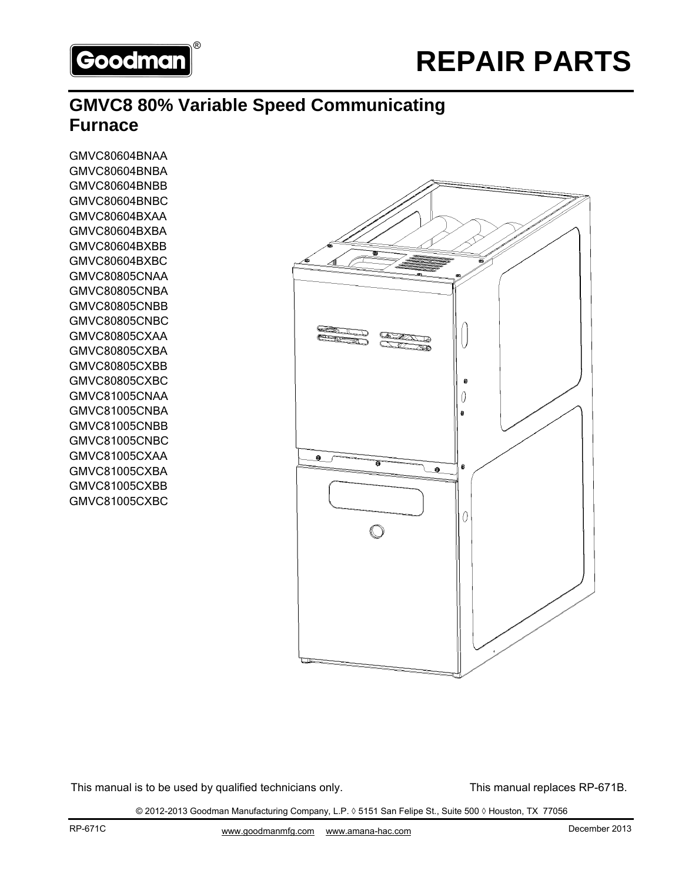

# **GMVC8 80% Variable Speed Communicating Furnace**

GMVC80604BNAA GMVC80604BNBA GMVC80604BNBB GMVC80604BNBC GMVC80604BXAA GMVC80604BXBA GMVC80604BXBB GMVC80604BXBC GMVC80805CNAA GMVC80805CNBA GMVC80805CNBB GMVC80805CNBC GMVC80805CXAA GMVC80805CXBA GMVC80805CXBB GMVC80805CXBC GMVC81005CNAA GMVC81005CNBA GMVC81005CNBB GMVC81005CNBC GMVC81005CXAA GMVC81005CXBA GMVC81005CXBB GMVC81005CXBC



This manual is to be used by qualified technicians only. This manual replaces RP-671B.

© 2012-2013 Goodman Manufacturing Company, L.P. ◊ 5151 San Felipe St., Suite 500 ◊ Houston, TX 77056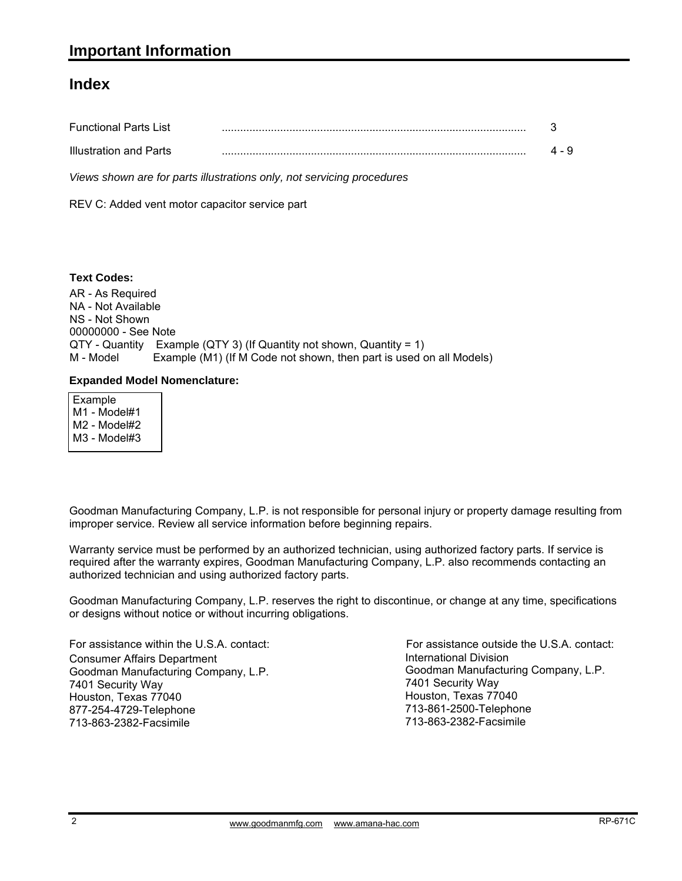#### **Index**

| <b>Functional Parts List</b> |       |
|------------------------------|-------|
| Illustration and Parts       | 4 - 9 |

*Views shown are for parts illustrations only, not servicing procedures*

REV C: Added vent motor capacitor service part

#### **Text Codes:**

AR - As Required NA - Not Available NS - Not Shown 00000000 - See Note QTY - Quantity Example (QTY 3) (If Quantity not shown, Quantity = 1) M - Model Example (M1) (If M Code not shown, then part is used on all Models)

#### **Expanded Model Nomenclature:**

 Example M1 - Model#1 M2 - Model#2 M3 - Model#3

Goodman Manufacturing Company, L.P. is not responsible for personal injury or property damage resulting from improper service. Review all service information before beginning repairs.

Warranty service must be performed by an authorized technician, using authorized factory parts. If service is required after the warranty expires, Goodman Manufacturing Company, L.P. also recommends contacting an authorized technician and using authorized factory parts.

Goodman Manufacturing Company, L.P. reserves the right to discontinue, or change at any time, specifications or designs without notice or without incurring obligations.

For assistance within the U.S.A. contact: Consumer Affairs Department Goodman Manufacturing Company, L.P. 7401 Security Way Houston, Texas 77040 877-254-4729-Telephone 713-863-2382-Facsimile

International Division International Division<br>Goodman Manufacturing Company, L.P. 7401 Security Way Houston, Texas 77040 713-861-2500-Telephone 713-863-2382-Facsimile For assistance outside the U.S.A. contact: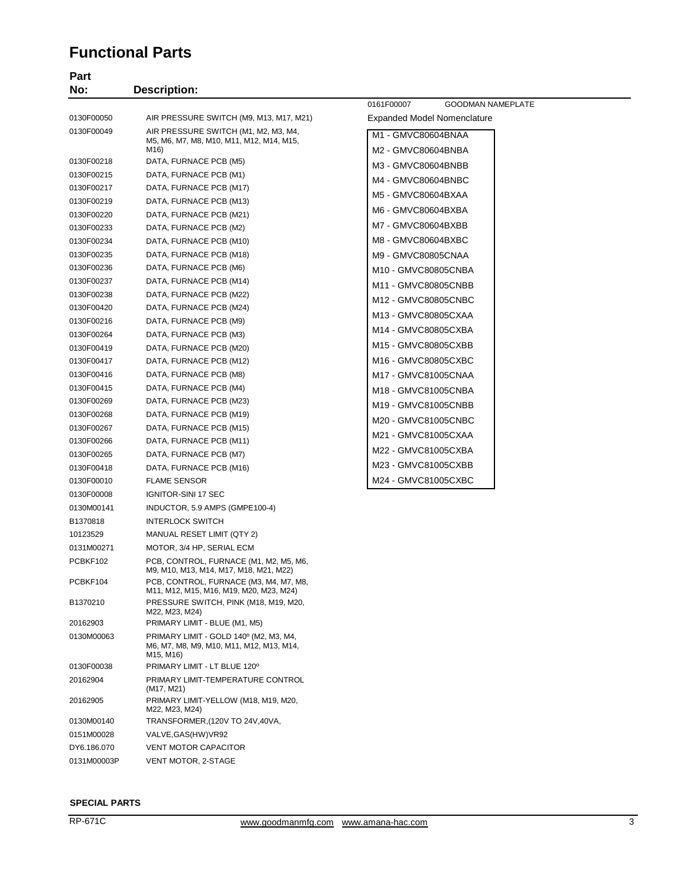### **Functional Parts**

| Part<br>No: | <b>Description:</b>                                                                             |                                        |
|-------------|-------------------------------------------------------------------------------------------------|----------------------------------------|
|             |                                                                                                 | 0161F00007<br><b>GOODMAN NAMEPLATE</b> |
| 0130F00050  | AIR PRESSURE SWITCH (M9, M13, M17, M21)                                                         | Expanded Model Nomenclature            |
| 0130F00049  | AIR PRESSURE SWITCH (M1, M2, M3, M4,                                                            | M1 - GMVC80604BNAA                     |
|             | M5, M6, M7, M8, M10, M11, M12, M14, M15,                                                        |                                        |
| 0130F00218  | M16)<br>DATA, FURNACE PCB (M5)                                                                  | M2 - GMVC80604BNBA                     |
| 0130F00215  | DATA, FURNACE PCB (M1)                                                                          | M3 - GMVC80604BNBB                     |
| 0130F00217  | DATA, FURNACE PCB (M17)                                                                         | M4 - GMVC80604BNBC                     |
| 0130F00219  | DATA, FURNACE PCB (M13)                                                                         | M5 - GMVC80604BXAA                     |
| 0130F00220  | DATA, FURNACE PCB (M21)                                                                         | M6 - GMVC80604BXBA                     |
| 0130F00233  | DATA, FURNACE PCB (M2)                                                                          | M7 - GMVC80604BXBB                     |
| 0130F00234  | DATA, FURNACE PCB (M10)                                                                         | M8 - GMVC80604BXBC                     |
| 0130F00235  | DATA, FURNACE PCB (M18)                                                                         | M9 - GMVC80805CNAA                     |
| 0130F00236  | DATA, FURNACE PCB (M6)                                                                          | M10 - GMVC80805CNBA                    |
| 0130F00237  | DATA, FURNACE PCB (M14)                                                                         |                                        |
| 0130F00238  | DATA, FURNACE PCB (M22)                                                                         | M11 - GMVC80805CNBB                    |
| 0130F00420  | DATA, FURNACE PCB (M24)                                                                         | M12 - GMVC80805CNBC                    |
| 0130F00216  | DATA, FURNACE PCB (M9)                                                                          | M13 - GMVC80805CXAA                    |
| 0130F00264  | DATA, FURNACE PCB (M3)                                                                          | M14 - GMVC80805CXBA                    |
| 0130F00419  | DATA, FURNACE PCB (M20)                                                                         | M15 - GMVC80805CXBB                    |
| 0130F00417  | DATA, FURNACE PCB (M12)                                                                         | M <sub>16</sub> - GMVC80805CXBC        |
| 0130F00416  | DATA, FURNACE PCB (M8)                                                                          | M17 - GMVC81005CNAA                    |
| 0130F00415  | DATA, FURNACE PCB (M4)                                                                          | M18 - GMVC81005CNBA                    |
| 0130F00269  | DATA, FURNACE PCB (M23)                                                                         | M19 - GMVC81005CNBB                    |
| 0130F00268  | DATA, FURNACE PCB (M19)                                                                         |                                        |
| 0130F00267  | DATA, FURNACE PCB (M15)                                                                         | M20 - GMVC81005CNBC                    |
| 0130F00266  | DATA, FURNACE PCB (M11)                                                                         | M21 - GMVC81005CXAA                    |
| 0130F00265  | DATA, FURNACE PCB (M7)                                                                          | M22 - GMVC81005CXBA                    |
| 0130F00418  | DATA, FURNACE PCB (M16)                                                                         | M23 - GMVC81005CXBB                    |
| 0130F00010  | <b>FLAME SENSOR</b>                                                                             | M24 - GMVC81005CXBC                    |
| 0130F00008  | IGNITOR-SINI 17 SEC                                                                             |                                        |
| 0130M00141  | INDUCTOR, 5.9 AMPS (GMPE100-4)                                                                  |                                        |
| B1370818    | <b>INTERLOCK SWITCH</b>                                                                         |                                        |
| 10123529    | MANUAL RESET LIMIT (QTY 2)                                                                      |                                        |
| 0131M00271  | MOTOR, 3/4 HP, SERIAL ECM                                                                       |                                        |
| PCBKF102    | PCB, CONTROL, FURNACE (M1, M2, M5, M6,<br>M9, M10, M13, M14, M17, M18, M21, M22)                |                                        |
| PCBKF104    | PCB, CONTROL, FURNACE (M3, M4, M7, M8,<br>M11, M12, M15, M16, M19, M20, M23, M24)               |                                        |
| B1370210    | PRESSURE SWITCH, PINK (M18, M19, M20,<br>M22, M23, M24)                                         |                                        |
| 20162903    | PRIMARY LIMIT - BLUE (M1, M5)                                                                   |                                        |
| 0130M00063  | PRIMARY LIMIT - GOLD 140° (M2, M3, M4,<br>M6, M7, M8, M9, M10, M11, M12, M13, M14,<br>M15, M16) |                                        |
| 0130F00038  | PRIMARY LIMIT - LT BLUE 120°                                                                    |                                        |
| 20162904    | PRIMARY LIMIT-TEMPERATURE CONTROL<br>(M17, M21)                                                 |                                        |
| 20162905    | PRIMARY LIMIT-YELLOW (M18, M19, M20,<br>M22, M23, M24)                                          |                                        |
| 0130M00140  | TRANSFORMER, (120V TO 24V, 40VA,                                                                |                                        |
| 0151M00028  | VALVE, GAS (HW) VR92                                                                            |                                        |
| DY6.186.070 | <b>VENT MOTOR CAPACITOR</b>                                                                     |                                        |

#### **SPECIAL PARTS**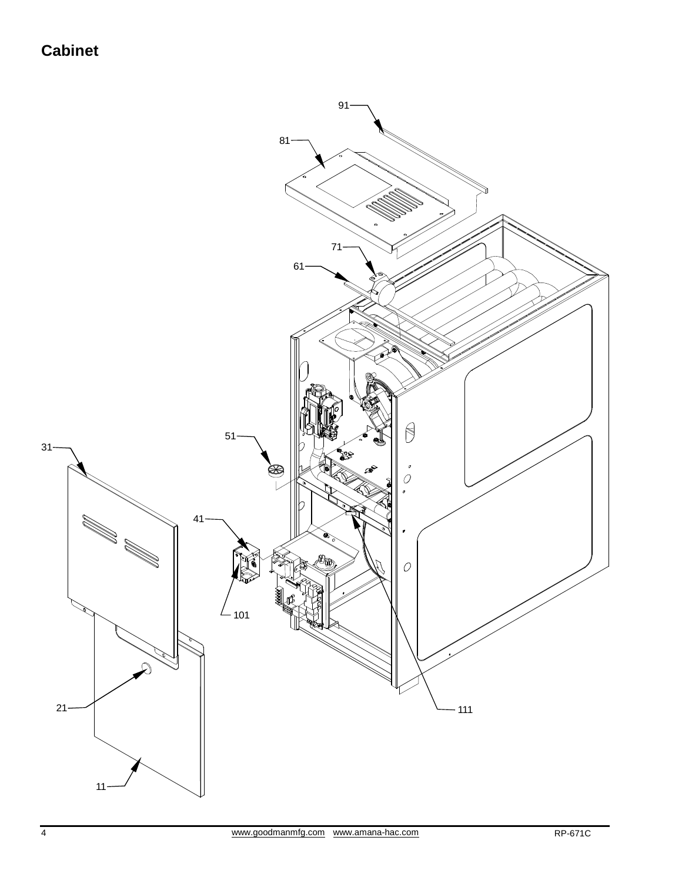## **Cabinet**

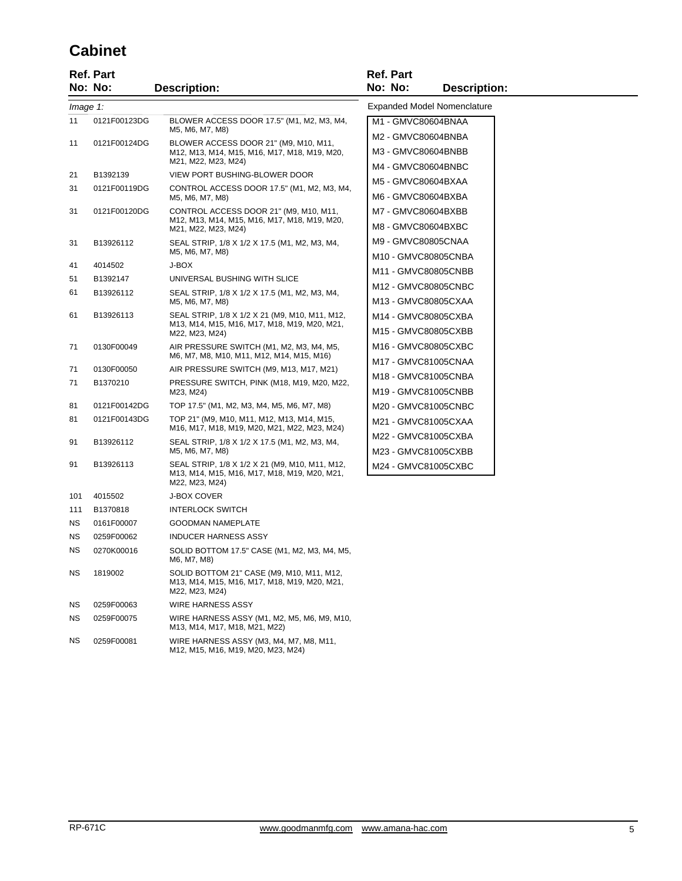### **Cabinet**

|           | <b>Ref. Part</b><br>No: No: | <b>Description:</b>                                                                                              | <b>Ref. Part</b><br>No: No:<br><b>Description:</b> |
|-----------|-----------------------------|------------------------------------------------------------------------------------------------------------------|----------------------------------------------------|
| Image 1:  |                             |                                                                                                                  | Expanded Model Nomenclature                        |
| 11        | 0121F00123DG                | BLOWER ACCESS DOOR 17.5" (M1, M2, M3, M4,                                                                        | M1 - GMVC80604BNAA                                 |
|           |                             | M5, M6, M7, M8)                                                                                                  | M2 - GMVC80604BNBA                                 |
| 11        | 0121F00124DG                | BLOWER ACCESS DOOR 21" (M9, M10, M11,<br>M12, M13, M14, M15, M16, M17, M18, M19, M20,                            | M3 - GMVC80604BNBB                                 |
|           |                             | M21, M22, M23, M24)                                                                                              | M4 - GMVC80604BNBC                                 |
| 21        | B1392139                    | VIEW PORT BUSHING-BLOWER DOOR                                                                                    | M5 - GMVC80604BXAA                                 |
| 31        | 0121F00119DG                | CONTROL ACCESS DOOR 17.5" (M1, M2, M3, M4,<br>M5, M6, M7, M8)                                                    | M6 - GMVC80604BXBA                                 |
| 31        | 0121F00120DG                | CONTROL ACCESS DOOR 21" (M9, M10, M11,<br>M12, M13, M14, M15, M16, M17, M18, M19, M20,<br>M21, M22, M23, M24)    | M7 - GMVC80604BXBB                                 |
|           |                             |                                                                                                                  | M8 - GMVC80604BXBC                                 |
| 31        | B13926112                   | SEAL STRIP, 1/8 X 1/2 X 17.5 (M1, M2, M3, M4,                                                                    | M9 - GMVC80805CNAA                                 |
|           |                             | M5, M6, M7, M8)                                                                                                  | M10 - GMVC80805CNBA                                |
| 41        | 4014502                     | J-BOX                                                                                                            | M11 - GMVC80805CNBB                                |
| 51<br>61  | B1392147<br>B13926112       | UNIVERSAL BUSHING WITH SLICE<br>SEAL STRIP, 1/8 X 1/2 X 17.5 (M1, M2, M3, M4,                                    | M12 - GMVC80805CNBC                                |
|           |                             | M5, M6, M7, M8)                                                                                                  | M13 - GMVC80805CXAA                                |
| 61        | B13926113                   | SEAL STRIP, 1/8 X 1/2 X 21 (M9, M10, M11, M12,                                                                   | M14 - GMVC80805CXBA                                |
|           |                             | M13, M14, M15, M16, M17, M18, M19, M20, M21,<br>M22, M23, M24)                                                   | M15 - GMVC80805CXBB                                |
| 71        | 0130F00049                  | AIR PRESSURE SWITCH (M1, M2, M3, M4, M5,                                                                         | M16 - GMVC80805CXBC                                |
|           |                             | M6, M7, M8, M10, M11, M12, M14, M15, M16)                                                                        | M17 - GMVC81005CNAA                                |
| 71        | 0130F00050                  | AIR PRESSURE SWITCH (M9, M13, M17, M21)                                                                          | M18 - GMVC81005CNBA                                |
| 71        | B1370210                    | PRESSURE SWITCH, PINK (M18, M19, M20, M22,<br>M23, M24)                                                          | M19 - GMVC81005CNBB                                |
| 81        | 0121F00142DG                | TOP 17.5" (M1, M2, M3, M4, M5, M6, M7, M8)                                                                       | M20 - GMVC81005CNBC                                |
| 81        | 0121F00143DG                | TOP 21" (M9, M10, M11, M12, M13, M14, M15,<br>M16, M17, M18, M19, M20, M21, M22, M23, M24)                       | M21 - GMVC81005CXAA                                |
| 91        | B13926112                   | SEAL STRIP, 1/8 X 1/2 X 17.5 (M1, M2, M3, M4,                                                                    | M22 - GMVC81005CXBA                                |
|           |                             | M5, M6, M7, M8)                                                                                                  | M23 - GMVC81005CXBB                                |
| 91        | B13926113                   | SEAL STRIP, 1/8 X 1/2 X 21 (M9, M10, M11, M12,<br>M13, M14, M15, M16, M17, M18, M19, M20, M21,<br>M22, M23, M24) | M24 - GMVC81005CXBC                                |
| 101       | 4015502                     | <b>J-BOX COVER</b>                                                                                               |                                                    |
| 111       | B1370818                    | <b>INTERLOCK SWITCH</b>                                                                                          |                                                    |
| ΝS        | 0161F00007                  | <b>GOODMAN NAMEPLATE</b>                                                                                         |                                                    |
| <b>NS</b> | 0259F00062                  | <b>INDUCER HARNESS ASSY</b>                                                                                      |                                                    |
| ΝS        | 0270K00016                  | SOLID BOTTOM 17.5" CASE (M1, M2, M3, M4, M5,<br>M6, M7, M8)                                                      |                                                    |
| NS.       | 1819002                     | SOLID BOTTOM 21" CASE (M9, M10, M11, M12,<br>M13, M14, M15, M16, M17, M18, M19, M20, M21,<br>M22, M23, M24)      |                                                    |
| ΝS        | 0259F00063                  | <b>WIRE HARNESS ASSY</b>                                                                                         |                                                    |
| ΝS        | 0259F00075                  | WIRE HARNESS ASSY (M1, M2, M5, M6, M9, M10,<br>M13, M14, M17, M18, M21, M22)                                     |                                                    |
| ΝS        | 0259F00081                  | WIRE HARNESS ASSY (M3, M4, M7, M8, M11,                                                                          |                                                    |

M12, M15, M16, M19, M20, M23, M24)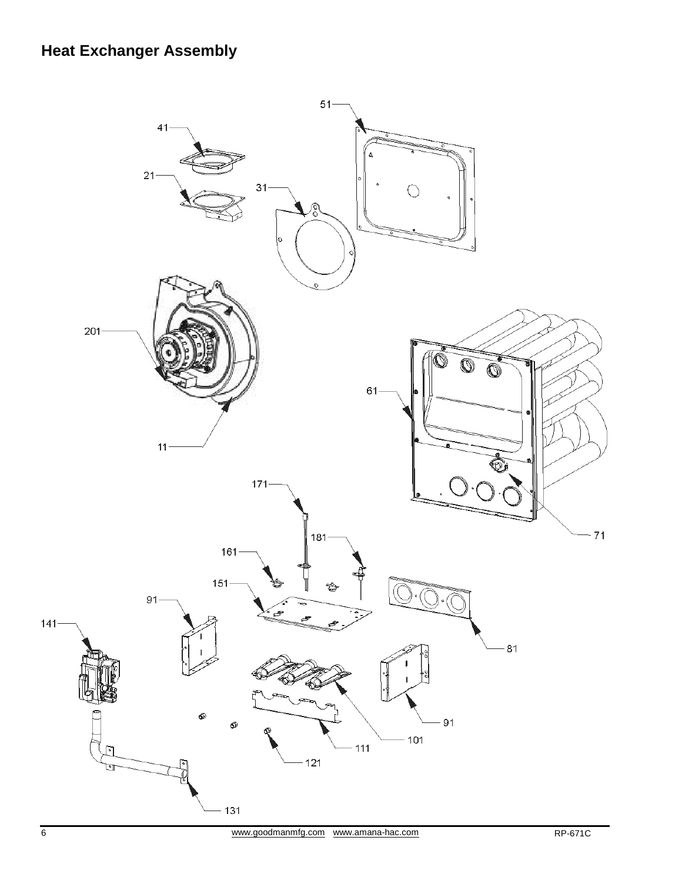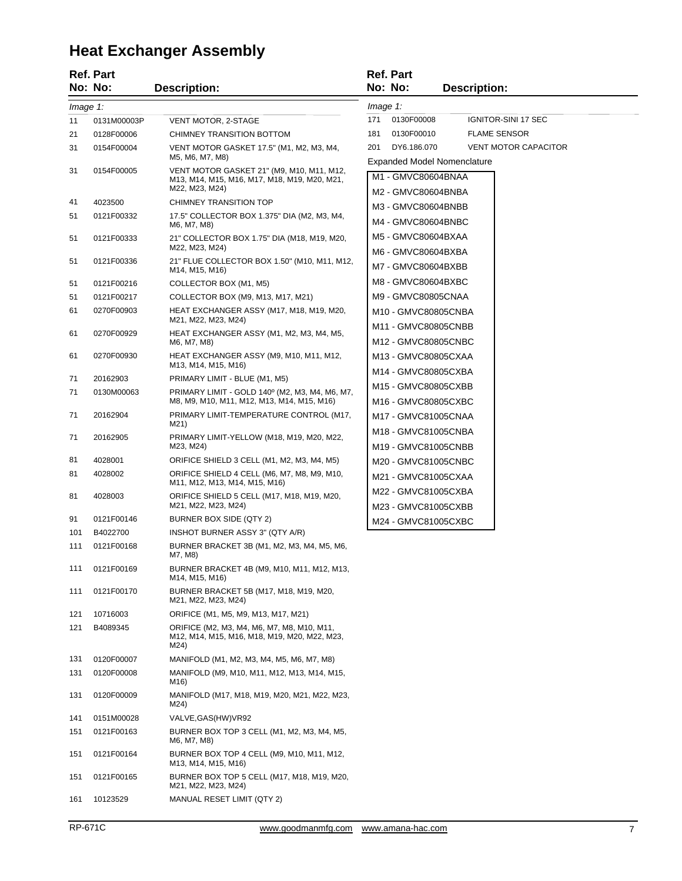# **Heat Exchanger Assembly**

|          | <b>Ref. Part</b><br>No: No: | <b>Description:</b>                                                                                         |          | <b>Ref. Part</b><br>No: No:                | <b>Description:</b>                                               |
|----------|-----------------------------|-------------------------------------------------------------------------------------------------------------|----------|--------------------------------------------|-------------------------------------------------------------------|
| Image 1: |                             |                                                                                                             | Image 1: |                                            |                                                                   |
| 11       | 0131M00003P                 | VENT MOTOR, 2-STAGE                                                                                         | 171      | 0130F00008                                 | IGNITOR-SINI 17 SEC                                               |
| 21       | 0128F00006                  | CHIMNEY TRANSITION BOTTOM                                                                                   | 181      | 0130F00010                                 | <b>FLAME SENSOR</b>                                               |
| 31       | 0154F00004                  | VENT MOTOR GASKET 17.5" (M1, M2, M3, M4,<br>M5, M6, M7, M8)                                                 | 201      | DY6.186.070                                | <b>VENT MOTOR CAPACITOR</b><br><b>Expanded Model Nomenclature</b> |
| 31       | 0154F00005                  | VENT MOTOR GASKET 21" (M9, M10, M11, M12,<br>M13, M14, M15, M16, M17, M18, M19, M20, M21,<br>M22, M23, M24) |          | M1 - GMVC80604BNAA                         |                                                                   |
| 41       | 4023500                     | CHIMNEY TRANSITION TOP                                                                                      |          | M2 - GMVC80604BNBA                         |                                                                   |
| 51       | 0121F00332                  | 17.5" COLLECTOR BOX 1.375" DIA (M2, M3, M4,<br>M6, M7, M8)                                                  |          | M3 - GMVC80604BNBB<br>M4 - GMVC80604BNBC   |                                                                   |
| 51       | 0121F00333                  | 21" COLLECTOR BOX 1.75" DIA (M18, M19, M20,<br>M22, M23, M24)                                               |          | M5 - GMVC80604BXAA<br>M6 - GMVC80604BXBA   |                                                                   |
| 51       | 0121F00336                  | 21" FLUE COLLECTOR BOX 1.50" (M10, M11, M12,<br>M14, M15, M16)                                              |          | M7 - GMVC80604BXBB                         |                                                                   |
| 51       | 0121F00216                  | COLLECTOR BOX (M1, M5)                                                                                      |          | M8 - GMVC80604BXBC                         |                                                                   |
| 51       | 0121F00217                  | COLLECTOR BOX (M9, M13, M17, M21)                                                                           |          | M9 - GMVC80805CNAA                         |                                                                   |
| 61       | 0270F00903                  | HEAT EXCHANGER ASSY (M17, M18, M19, M20,<br>M21, M22, M23, M24)                                             |          | M10 - GMVC80805CNBA<br>M11 - GMVC80805CNBB |                                                                   |
| 61       | 0270F00929                  | HEAT EXCHANGER ASSY (M1, M2, M3, M4, M5,<br>M6, M7, M8)                                                     |          | M12 - GMVC80805CNBC                        |                                                                   |
| 61       | 0270F00930                  | HEAT EXCHANGER ASSY (M9, M10, M11, M12,<br>M13, M14, M15, M16)                                              |          | M13 - GMVC80805CXAA                        |                                                                   |
| 71       | 20162903                    | PRIMARY LIMIT - BLUE (M1, M5)                                                                               |          | M14 - GMVC80805CXBA                        |                                                                   |
| 71       | 0130M00063                  | PRIMARY LIMIT - GOLD 140° (M2, M3, M4, M6, M7,<br>M8, M9, M10, M11, M12, M13, M14, M15, M16)                |          | M15 - GMVC80805CXBB<br>M16 - GMVC80805CXBC |                                                                   |
| 71       | 20162904                    | PRIMARY LIMIT-TEMPERATURE CONTROL (M17,<br>M21)                                                             |          | M17 - GMVC81005CNAA                        |                                                                   |
| 71       | 20162905                    | PRIMARY LIMIT-YELLOW (M18, M19, M20, M22,<br>M23, M24)                                                      |          | M18 - GMVC81005CNBA<br>M19 - GMVC81005CNBB |                                                                   |
| 81       | 4028001                     | ORIFICE SHIELD 3 CELL (M1, M2, M3, M4, M5)                                                                  |          | M20 - GMVC81005CNBC                        |                                                                   |
| 81       | 4028002                     | ORIFICE SHIELD 4 CELL (M6, M7, M8, M9, M10,<br>M11, M12, M13, M14, M15, M16)                                |          | M21 - GMVC81005CXAA                        |                                                                   |
| 81       | 4028003                     | ORIFICE SHIELD 5 CELL (M17, M18, M19, M20,<br>M21, M22, M23, M24)                                           |          | M22 - GMVC81005CXBA<br>M23 - GMVC81005CXBB |                                                                   |
| 91       | 0121F00146                  | BURNER BOX SIDE (QTY 2)                                                                                     |          | M24 - GMVC81005CXBC                        |                                                                   |
| 101      | B4022700                    | INSHOT BURNER ASSY 3" (QTY A/R)                                                                             |          |                                            |                                                                   |
| 111      | 0121F00168                  | BURNER BRACKET 3B (M1, M2, M3, M4, M5, M6,<br>M7, M8)                                                       |          |                                            |                                                                   |
| 111      | 0121F00169                  | BURNER BRACKET 4B (M9, M10, M11, M12, M13,<br>M14, M15, M16)                                                |          |                                            |                                                                   |
| 111      | 0121F00170                  | BURNER BRACKET 5B (M17, M18, M19, M20,<br>M21, M22, M23, M24)                                               |          |                                            |                                                                   |
| 121      | 10716003                    | ORIFICE (M1, M5, M9, M13, M17, M21)                                                                         |          |                                            |                                                                   |
| 121      | B4089345                    | ORIFICE (M2, M3, M4, M6, M7, M8, M10, M11,<br>M12, M14, M15, M16, M18, M19, M20, M22, M23,<br>M24)          |          |                                            |                                                                   |
| 131      | 0120F00007                  | MANIFOLD (M1, M2, M3, M4, M5, M6, M7, M8)                                                                   |          |                                            |                                                                   |
| 131      | 0120F00008                  | MANIFOLD (M9, M10, M11, M12, M13, M14, M15,<br>M16)                                                         |          |                                            |                                                                   |
| 131      | 0120F00009                  | MANIFOLD (M17, M18, M19, M20, M21, M22, M23,<br>M24)                                                        |          |                                            |                                                                   |
| 141      | 0151M00028                  | VALVE, GAS (HW) VR92                                                                                        |          |                                            |                                                                   |
| 151      | 0121F00163                  | BURNER BOX TOP 3 CELL (M1, M2, M3, M4, M5,<br>M6, M7, M8)                                                   |          |                                            |                                                                   |
| 151      | 0121F00164                  | BURNER BOX TOP 4 CELL (M9, M10, M11, M12,<br>M13, M14, M15, M16)                                            |          |                                            |                                                                   |
| 151      | 0121F00165                  | BURNER BOX TOP 5 CELL (M17, M18, M19, M20,<br>M21, M22, M23, M24)                                           |          |                                            |                                                                   |
| 161      | 10123529                    | MANUAL RESET LIMIT (QTY 2)                                                                                  |          |                                            |                                                                   |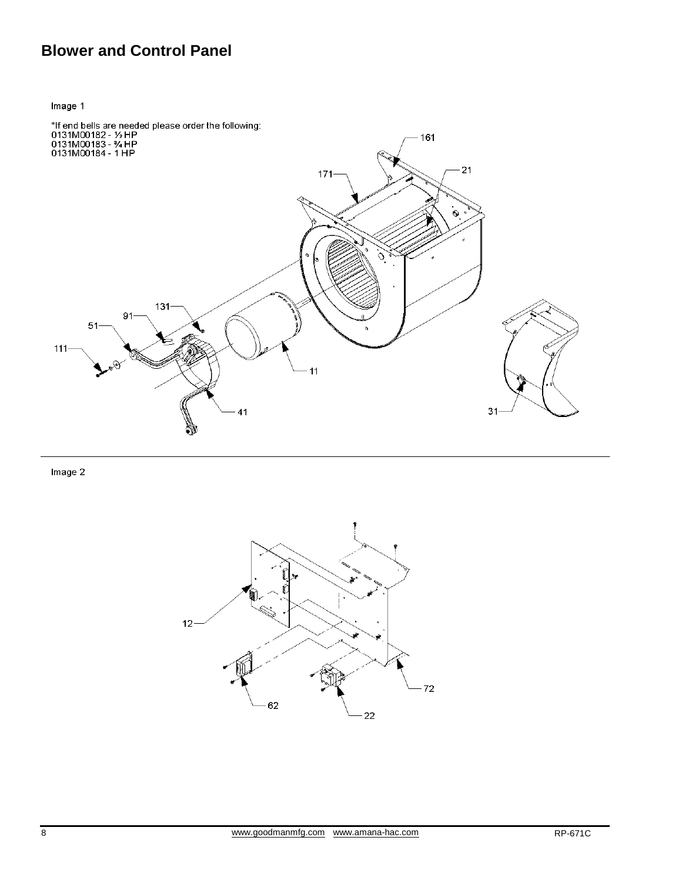## **Blower and Control Panel**

Image 1

![](_page_7_Figure_2.jpeg)

Image 2

![](_page_7_Figure_4.jpeg)